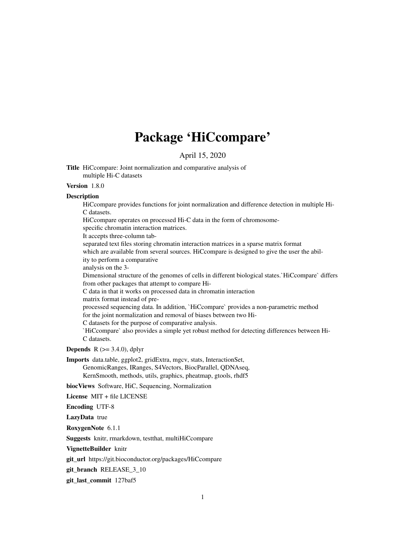# Package 'HiCcompare'

April 15, 2020

Title HiCcompare: Joint normalization and comparative analysis of multiple Hi-C datasets

#### Version 1.8.0

#### Description

HiCcompare provides functions for joint normalization and difference detection in multiple Hi-C datasets.

HiCcompare operates on processed Hi-C data in the form of chromosome-

specific chromatin interaction matrices.

It accepts three-column tab-

separated text files storing chromatin interaction matrices in a sparse matrix format which are available from several sources. HiCcompare is designed to give the user the abil-

ity to perform a comparative

analysis on the 3-

Dimensional structure of the genomes of cells in different biological states.`HiCcompare` differs from other packages that attempt to compare Hi-

C data in that it works on processed data in chromatin interaction

matrix format instead of pre-

processed sequencing data. In addition, `HiCcompare` provides a non-parametric method for the joint normalization and removal of biases between two Hi-

C datasets for the purpose of comparative analysis.

`HiCcompare` also provides a simple yet robust method for detecting differences between Hi-C datasets.

**Depends** R  $(>= 3.4.0)$ , dplyr

Imports data.table, ggplot2, gridExtra, mgcv, stats, InteractionSet,

GenomicRanges, IRanges, S4Vectors, BiocParallel, QDNAseq, KernSmooth, methods, utils, graphics, pheatmap, gtools, rhdf5

biocViews Software, HiC, Sequencing, Normalization

License MIT + file LICENSE

Encoding UTF-8

LazyData true

RoxygenNote 6.1.1

Suggests knitr, rmarkdown, testthat, multiHiCcompare

VignetteBuilder knitr

git\_url https://git.bioconductor.org/packages/HiCcompare

git branch RELEASE 3 10

git\_last\_commit 127baf5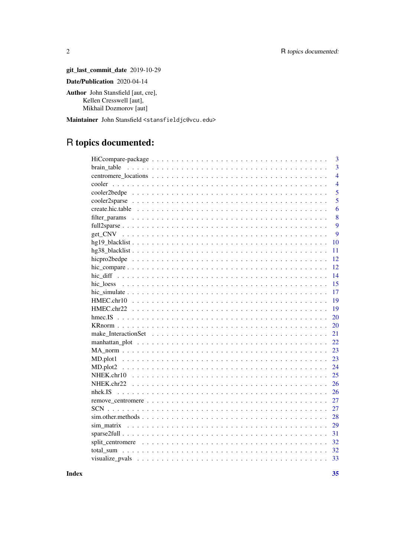git\_last\_commit\_date 2019-10-29 Date/Publication 2020-04-14

Author John Stansfield [aut, cre], Kellen Cresswell [aut], Mikhail Dozmorov [aut]

Maintainer John Stansfield <stansfieldjc@vcu.edu>

## R topics documented:

| 3              |
|----------------|
| $\overline{3}$ |
| $\overline{4}$ |
| $\overline{4}$ |
| 5              |
| $\overline{5}$ |
| 6              |
| 8              |
| 9              |
| 9              |
| 10             |
| 11             |
| 12             |
| 12             |
| 14             |
| 15             |
| 17             |
| 19             |
| 19             |
| 20             |
| 20             |
| 21             |
| 22             |
| 23             |
| 23             |
| 24             |
| 25             |
| 26             |
| 26             |
| 27             |
| 27             |
| 28             |
| 29             |
| 31             |
| 32             |
| 32             |
| 33             |

**Index** 

 $\overline{2}$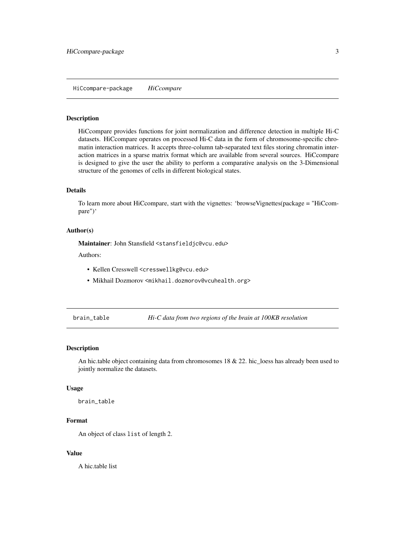<span id="page-2-0"></span>HiCcompare-package *HiCcompare*

#### Description

HiCcompare provides functions for joint normalization and difference detection in multiple Hi-C datasets. HiCcompare operates on processed Hi-C data in the form of chromosome-specific chromatin interaction matrices. It accepts three-column tab-separated text files storing chromatin interaction matrices in a sparse matrix format which are available from several sources. HiCcompare is designed to give the user the ability to perform a comparative analysis on the 3-Dimensional structure of the genomes of cells in different biological states.

#### Details

To learn more about HiCcompare, start with the vignettes: 'browseVignettes(package = "HiCcompare")'

#### Author(s)

Maintainer: John Stansfield <stansfieldjc@vcu.edu>

Authors:

- Kellen Cresswell <cresswellkg@vcu.edu>
- Mikhail Dozmorov <mikhail.dozmorov@vcuhealth.org>

brain\_table *Hi-C data from two regions of the brain at 100KB resolution*

#### Description

An hic.table object containing data from chromosomes 18 & 22. hic\_loess has already been used to jointly normalize the datasets.

#### Usage

brain\_table

#### Format

An object of class list of length 2.

#### Value

A hic.table list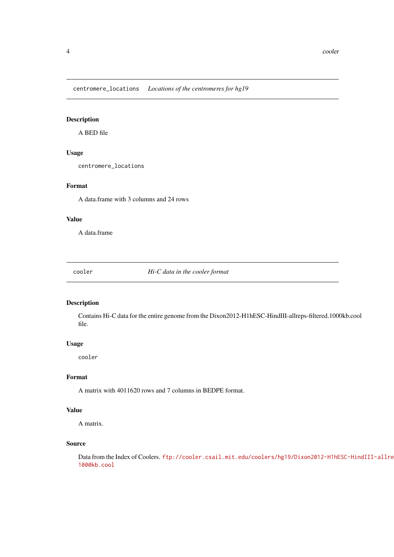<span id="page-3-0"></span>centromere\_locations *Locations of the centromeres for hg19*

#### Description

A BED file

#### Usage

centromere\_locations

#### Format

A data.frame with 3 columns and 24 rows

#### Value

A data.frame

cooler *Hi-C data in the cooler format*

#### Description

Contains Hi-C data for the entire genome from the Dixon2012-H1hESC-HindIII-allreps-filtered.1000kb.cool file.

#### Usage

cooler

#### Format

A matrix with 4011620 rows and 7 columns in BEDPE format.

#### Value

A matrix.

#### Source

Data from the Index of Coolers. [ftp://cooler.csail.mit.edu/coolers/hg19/Dixon2012-H1hE](ftp://cooler.csail.mit.edu/coolers/hg19/Dixon2012-H1hESC-HindIII-allreps-filtered.1000kb.cool)SC-HindIII-allre [1000kb.cool](ftp://cooler.csail.mit.edu/coolers/hg19/Dixon2012-H1hESC-HindIII-allreps-filtered.1000kb.cool)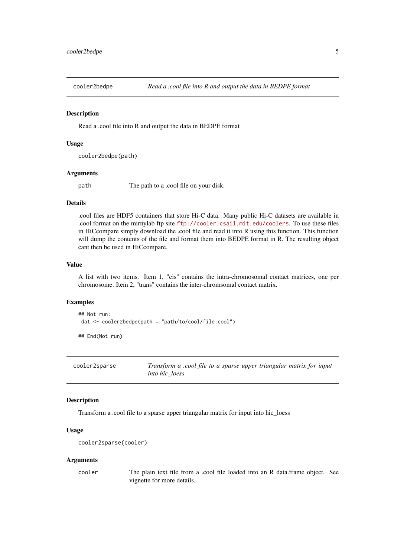<span id="page-4-0"></span>

Read a .cool file into R and output the data in BEDPE format

#### Usage

cooler2bedpe(path)

#### Arguments

path The path to a .cool file on your disk.

#### Details

.cool files are HDF5 containers that store Hi-C data. Many public Hi-C datasets are available in .cool format on the mirnylab ftp site <ftp://cooler.csail.mit.edu/coolers>. To use these files in HiCcompare simply download the .cool file and read it into R using this function. This function will dump the contents of the file and format them into BEDPE format in R. The resulting object cant then be used in HiCcompare.

#### Value

A list with two items. Item 1, "cis" contains the intra-chromosomal contact matrices, one per chromosome. Item 2, "trans" contains the inter-chromsomal contact matrix.

#### Examples

```
## Not run:
dat <- cooler2bedpe(path = "path/to/cool/file.cool")
```
## End(Not run)

| cooler2sparse | Transform a .cool file to a sparse upper triangular matrix for input |
|---------------|----------------------------------------------------------------------|
|               | <i>into hic loess</i>                                                |

#### Description

Transform a .cool file to a sparse upper triangular matrix for input into hic\_loess

#### Usage

```
cooler2sparse(cooler)
```
#### Arguments

cooler The plain text file from a .cool file loaded into an R data.frame object. See vignette for more details.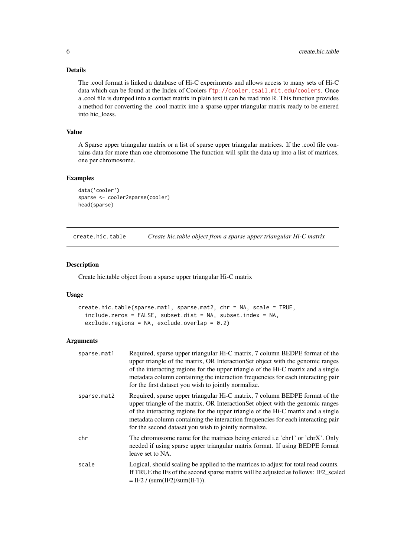#### Details

The .cool format is linked a database of Hi-C experiments and allows access to many sets of Hi-C data which can be found at the Index of Coolers <ftp://cooler.csail.mit.edu/coolers>. Once a .cool file is dumped into a contact matrix in plain text it can be read into R. This function provides a method for converting the .cool matrix into a sparse upper triangular matrix ready to be entered into hic\_loess.

#### Value

A Sparse upper triangular matrix or a list of sparse upper triangular matrices. If the .cool file contains data for more than one chromosome The function will split the data up into a list of matrices, one per chromosome.

#### Examples

```
data('cooler')
sparse <- cooler2sparse(cooler)
head(sparse)
```
create.hic.table *Create hic.table object from a sparse upper triangular Hi-C matrix*

#### Description

Create hic.table object from a sparse upper triangular Hi-C matrix

#### Usage

```
create.hic.table(sparse.mat1, sparse.mat2, chr = NA, scale = TRUE,
  include.zeros = FALSE, subset.dist = NA, subset.index = NA,
  exclude.regions = NA, exclude.overlap = 0.2)
```
#### Arguments

| sparse.mat1 | Required, sparse upper triangular Hi-C matrix, 7 column BEDPE format of the<br>upper triangle of the matrix, OR InteractionSet object with the genomic ranges<br>of the interacting regions for the upper triangle of the Hi-C matrix and a single<br>metadata column containing the interaction frequencies for each interacting pair<br>for the first dataset you wish to jointly normalize.  |
|-------------|-------------------------------------------------------------------------------------------------------------------------------------------------------------------------------------------------------------------------------------------------------------------------------------------------------------------------------------------------------------------------------------------------|
| sparse.mat2 | Required, sparse upper triangular Hi-C matrix, 7 column BEDPE format of the<br>upper triangle of the matrix, OR InteractionSet object with the genomic ranges<br>of the interacting regions for the upper triangle of the Hi-C matrix and a single<br>metadata column containing the interaction frequencies for each interacting pair<br>for the second dataset you wish to jointly normalize. |
| chr         | The chromosome name for the matrices being entered i.e 'chr1' or 'chrX'. Only<br>needed if using sparse upper triangular matrix format. If using BEDPE format<br>leave set to NA.                                                                                                                                                                                                               |
| scale       | Logical, should scaling be applied to the matrices to adjust for total read counts.<br>If TRUE the IFs of the second sparse matrix will be adjusted as follows: IF2_scaled<br>$=$ IF2 / (sum(IF2)/sum(IF1)).                                                                                                                                                                                    |

<span id="page-5-0"></span>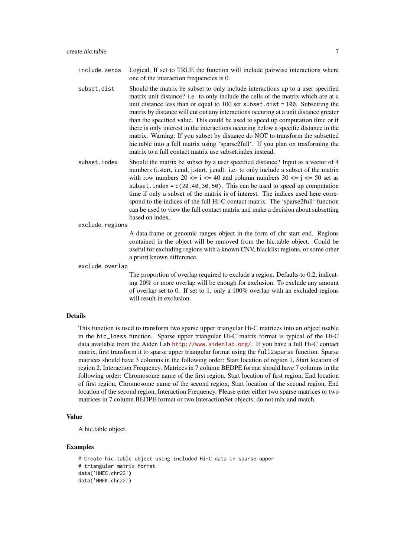include.zeros Logical, If set to TRUE the function will include pairwise interactions where one of the interaction frequencies is 0.

- subset.dist Should the matrix be subset to only include interactions up to a user specified matrix unit distance? i.e. to only include the cells of the matrix which are at a unit distance less than or equal to 100 set subset.dist = 100. Subsetting the matrix by distance will cut out any interactions occuring at a unit distance greater than the specified value. This could be used to speed up computation time or if there is only interest in the interactions occuring below a specific distance in the matrix. Warning: If you subset by distance do NOT to transform the subsetted hic.table into a full matrix using 'sparse2full'. If you plan on trasforming the matrix to a full contact matrix use subset.index instead.
- subset.index Should the matrix be subset by a user specified distance? Input as a vector of 4 numbers (i.start, i.end, j.start, j.end). i.e. to only include a subset of the matrix with row numbers  $20 \le i \le 40$  and column numbers  $30 \le i \le 50$  set as subset. index =  $c(20, 40, 30, 50)$ . This can be used to speed up computation time if only a subset of the matrix is of interest. The indices used here correspond to the indices of the full Hi-C contact matrix. The 'sparse2full' function can be used to view the full contact matrix and make a decision about subsetting based on index.

exclude.regions

A data.frame or genomic ranges object in the form of chr start end. Regions contained in the object will be removed from the hic.table object. Could be useful for excluding regions with a known CNV, blacklist regions, or some other a priori known difference.

exclude.overlap

The proportion of overlap required to exclude a region. Defaults to 0.2, indicating 20% or more overlap will be enough for exclusion. To exclude any amount of overlap set to 0. If set to 1, only a 100% overlap with an excluded regions will result in exclusion.

#### Details

This function is used to transform two sparse upper triangular Hi-C matrices into an object usable in the hic\_loess function. Sparse upper triangular Hi-C matrix format is typical of the Hi-C data available from the Aiden Lab <http://www.aidenlab.org/>. If you have a full Hi-C contact matrix, first transform it to sparse upper triangular format using the full2sparse function. Sparse matrices should have 3 columns in the following order: Start location of region 1, Start location of region 2, Interaction Frequency. Matrices in 7 column BEDPE format should have 7 columns in the following order: Chromosome name of the first region, Start location of first region, End location of first region, Chromosome name of the second region, Start location of the second region, End location of the second region, Interaction Frequency. Please enter either two sparse matrices or two matrices in 7 column BEDPE format or two InteractionSet objects; do not mix and match.

#### Value

A hic.table object.

```
# Create hic.table object using included Hi-C data in sparse upper
# triangular matrix format
data('HMEC.chr22')
data('NHEK.chr22')
```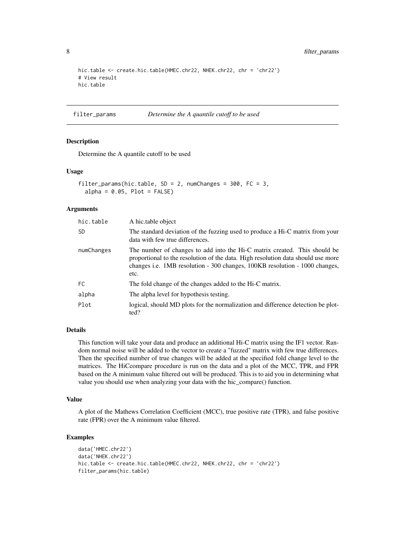```
hic.table <- create.hic.table(HMEC.chr22, NHEK.chr22, chr = 'chr22')
# View result
hic.table
```

```
filter_params Determine the A quantile cutoff to be used
```
Determine the A quantile cutoff to be used

#### Usage

```
filter_params(hic.table, SD = 2, numChanges = 300, FC = 3,
 alpha = 0.05, Plot = FALSE)
```
#### Arguments

| hic.table  | A hic.table object                                                                                                                                                                                                                                   |
|------------|------------------------------------------------------------------------------------------------------------------------------------------------------------------------------------------------------------------------------------------------------|
| SD         | The standard deviation of the fuzzing used to produce a Hi-C matrix from your<br>data with few true differences.                                                                                                                                     |
| numChanges | The number of changes to add into the Hi-C matrix created. This should be<br>proportional to the resolution of the data. High resolution data should use more<br>changes i.e. 1MB resolution - 300 changes, 100KB resolution - 1000 changes,<br>etc. |
| FC         | The fold change of the changes added to the Hi-C matrix.                                                                                                                                                                                             |
| alpha      | The alpha level for hypothesis testing.                                                                                                                                                                                                              |
| Plot       | logical, should MD plots for the normalization and difference detection be plot-<br>ted?                                                                                                                                                             |

#### Details

This function will take your data and produce an additional Hi-C matrix using the IF1 vector. Random normal noise will be added to the vector to create a "fuzzed" matrix with few true differences. Then the specified number of true changes will be added at the specified fold change level to the matrices. The HiCcompare procedure is run on the data and a plot of the MCC, TPR, and FPR based on the A minimum value filtered out will be produced. This is to aid you in determining what value you should use when analyzing your data with the hic\_compare() function.

#### Value

A plot of the Mathews Correlation Coefficient (MCC), true positive rate (TPR), and false positive rate (FPR) over the A minimum value filtered.

```
data('HMEC.chr22')
data('NHEK.chr22')
hic.table <- create.hic.table(HMEC.chr22, NHEK.chr22, chr = 'chr22')
filter_params(hic.table)
```
<span id="page-7-0"></span>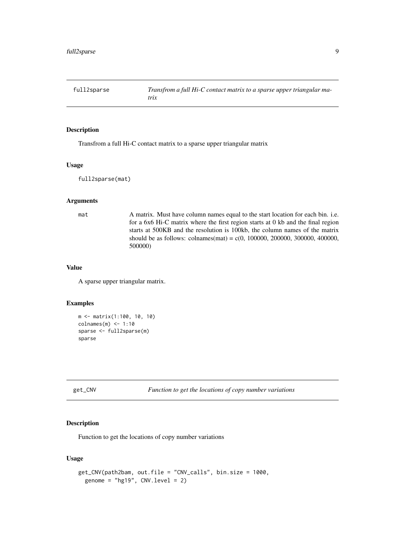<span id="page-8-0"></span>

Transfrom a full Hi-C contact matrix to a sparse upper triangular matrix

#### Usage

full2sparse(mat)

#### Arguments

mat A matrix. Must have column names equal to the start location for each bin. i.e. for a 6x6 Hi-C matrix where the first region starts at 0 kb and the final region starts at 500KB and the resolution is 100kb, the column names of the matrix should be as follows: colnames(mat) = c(0, 100000, 200000, 300000, 400000, 500000)

#### Value

A sparse upper triangular matrix.

#### Examples

```
m <- matrix(1:100, 10, 10)
colnames(m) <- 1:10
sparse <- full2sparse(m)
sparse
```
get\_CNV *Function to get the locations of copy number variations*

#### Description

Function to get the locations of copy number variations

#### Usage

```
get_CNV(path2bam, out.file = "CNV_calls", bin.size = 1000,
 genome = "hg19", CNV.level = 2)
```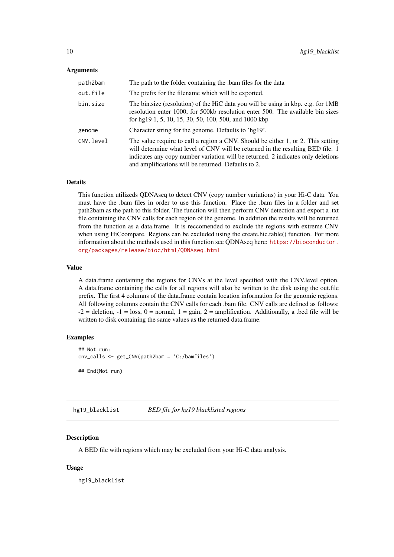#### <span id="page-9-0"></span>Arguments

| path2bam  | The path to the folder containing the .bam files for the data                                                                                                                                                                                                                                                 |
|-----------|---------------------------------------------------------------------------------------------------------------------------------------------------------------------------------------------------------------------------------------------------------------------------------------------------------------|
| out.file  | The prefix for the filename which will be exported.                                                                                                                                                                                                                                                           |
| bin.size  | The bin.size (resolution) of the HiC data you will be using in kbp. e.g. for 1MB<br>resolution enter 1000, for 500kb resolution enter 500. The available bin sizes<br>for hg19 1, 5, 10, 15, 30, 50, 100, 500, and 1000 kbp                                                                                   |
| genome    | Character string for the genome. Defaults to 'hg19'.                                                                                                                                                                                                                                                          |
| CNV.level | The value require to call a region a CNV. Should be either 1, or 2. This setting<br>will determine what level of CNV will be returned in the resulting BED file. 1<br>indicates any copy number variation will be returned. 2 indicates only deletions<br>and amplifications will be returned. Defaults to 2. |

#### Details

This function utilizeds QDNAseq to detect CNV (copy number variations) in your Hi-C data. You must have the .bam files in order to use this function. Place the .bam files in a folder and set path2bam as the path to this folder. The function will then perform CNV detection and export a .txt file containing the CNV calls for each region of the genome. In addition the results will be returned from the function as a data.frame. It is reccomended to exclude the regions with extreme CNV when using HiCcompare. Regions can be excluded using the create.hic.table() function. For more information about the methods used in this function see QDNAseq here: [https://bioconductor.](https://bioconductor.org/packages/release/bioc/html/QDNAseq.html) [org/packages/release/bioc/html/QDNAseq.html](https://bioconductor.org/packages/release/bioc/html/QDNAseq.html)

#### Value

A data.frame containing the regions for CNVs at the level specified with the CNV.level option. A data.frame containing the calls for all regions will also be written to the disk using the out.file prefix. The first 4 columns of the data.frame contain location information for the genomic regions. All following columns contain the CNV calls for each .bam file. CNV calls are defined as follows:  $-2$  = deletion,  $-1$  = loss,  $0$  = normal,  $1$  = gain,  $2$  = amplification. Additionally, a .bed file will be written to disk containing the same values as the returned data.frame.

#### Examples

```
## Not run:
cnv_calls <- get_CNV(path2bam = 'C:/bamfiles')
## End(Not run)
```
hg19\_blacklist *BED file for hg19 blacklisted regions*

#### Description

A BED file with regions which may be excluded from your Hi-C data analysis.

#### Usage

hg19\_blacklist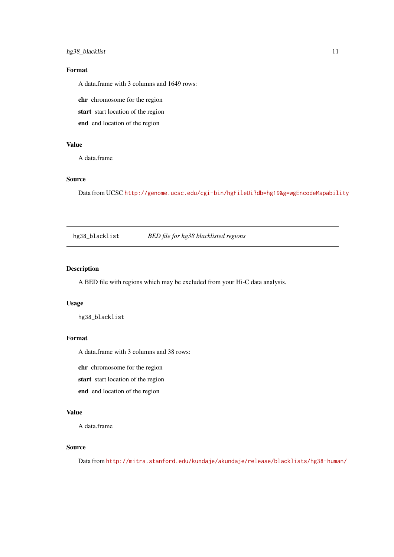#### <span id="page-10-0"></span>hg38\_blacklist 11

#### Format

A data.frame with 3 columns and 1649 rows:

chr chromosome for the region

start start location of the region

end end location of the region

#### Value

A data.frame

#### Source

Data from UCSC <http://genome.ucsc.edu/cgi-bin/hgFileUi?db=hg19&g=wgEncodeMapability>

hg38\_blacklist *BED file for hg38 blacklisted regions*

#### Description

A BED file with regions which may be excluded from your Hi-C data analysis.

#### Usage

hg38\_blacklist

#### Format

A data.frame with 3 columns and 38 rows:

chr chromosome for the region

start start location of the region

end end location of the region

#### Value

A data.frame

#### Source

Data from <http://mitra.stanford.edu/kundaje/akundaje/release/blacklists/hg38-human/>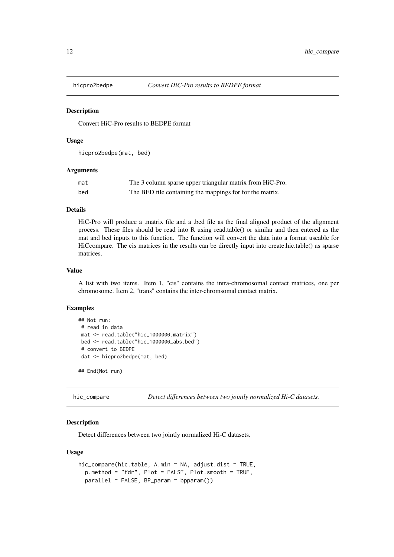<span id="page-11-0"></span>

Convert HiC-Pro results to BEDPE format

#### Usage

hicpro2bedpe(mat, bed)

#### Arguments

| mat | The 3 column sparse upper triangular matrix from HiC-Pro. |
|-----|-----------------------------------------------------------|
| bed | The BED file containing the mappings for for the matrix.  |

#### Details

HiC-Pro will produce a .matrix file and a .bed file as the final aligned product of the alignment process. These files should be read into R using read.table() or similar and then entered as the mat and bed inputs to this function. The function will convert the data into a format useable for HiCcompare. The cis matrices in the results can be directly input into create.hic.table() as sparse matrices.

#### Value

A list with two items. Item 1, "cis" contains the intra-chromosomal contact matrices, one per chromosome. Item 2, "trans" contains the inter-chromsomal contact matrix.

#### Examples

```
## Not run:
 # read in data
 mat <- read.table("hic_1000000.matrix")
bed <- read.table("hic_1000000_abs.bed")
 # convert to BEDPE
 dat <- hicpro2bedpe(mat, bed)
## End(Not run)
```
hic\_compare *Detect differences between two jointly normalized Hi-C datasets.*

#### Description

Detect differences between two jointly normalized Hi-C datasets.

#### Usage

```
hic_compare(hic.table, A.min = NA, adjust.dist = TRUE,
 p.method = "fdr", Plot = FALSE, Plot.smooth = TRUE,
 parallel = FALSE, BP_param = bpparam())
```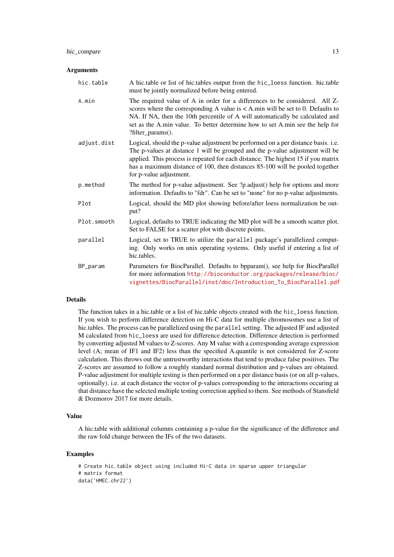#### Arguments

| hic.table   | A hic.table or list of hic.tables output from the hic_loess function. hic.table<br>must be jointly normalized before being entered.                                                                                                                                                                                                                                |
|-------------|--------------------------------------------------------------------------------------------------------------------------------------------------------------------------------------------------------------------------------------------------------------------------------------------------------------------------------------------------------------------|
| A.min       | The required value of A in order for a differences to be considered. All Z-<br>scores where the corresponding A value is $<$ A.min will be set to 0. Defaults to<br>NA. If NA, then the 10th percentile of A will automatically be calculated and<br>set as the A.min value. To better determine how to set A.min see the help for<br>?filter_params().            |
| adjust.dist | Logical, should the p-value adjustment be performed on a per distance basis. i.e.<br>The p-values at distance 1 will be grouped and the p-value adjustment will be<br>applied. This process is repeated for each distance. The highest 15 if you matrix<br>has a maximum distance of 100, then distances 85-100 will be pooled together<br>for p-value adjustment. |
| p.method    | The method for p-value adjustment. See ?p.adjust() help for options and more<br>information. Defaults to "fdr". Can be set to "none" for no p-value adjustments.                                                                                                                                                                                                   |
| Plot        | Logical, should the MD plot showing before/after loess normalization be out-<br>put?                                                                                                                                                                                                                                                                               |
| Plot.smooth | Logical, defaults to TRUE indicating the MD plot will be a smooth scatter plot.<br>Set to FALSE for a scatter plot with discrete points.                                                                                                                                                                                                                           |
| parallel    | Logical, set to TRUE to utilize the parallel package's parallelized comput-<br>ing. Only works on unix operating systems. Only useful if entering a list of<br>hic.tables.                                                                                                                                                                                         |
| BP_param    | Parameters for BiocParallel. Defaults to bpparam(), see help for BiocParallel<br>for more information http://bioconductor.org/packages/release/bioc/<br>vignettes/BiocParallel/inst/doc/Introduction_To_BiocParallel.pdf                                                                                                                                           |

#### Details

The function takes in a hic.table or a list of hic.table objects created with the hic\_loess function. If you wish to perform difference detection on Hi-C data for multiple chromosomes use a list of hic.tables. The process can be parallelized using the parallel setting. The adjusted IF and adjusted M calculated from hic\_loess are used for difference detection. Difference detection is performed by converting adjusted M values to Z-scores. Any M value with a corresponding average expression level (A; mean of IF1 and IF2) less than the specified A.quantile is not considered for Z-score calculation. This throws out the untrustworthy interactions that tend to produce false positives. The Z-scores are assumed to follow a roughly standard normal distribution and p-values are obtained. P-value adjustment for multiple testing is then performed on a per distance basis (or on all p-values, optionally). i.e. at each distance the vector of p-values corresponding to the interactions occuring at that distance have the selected multiple testing correction applied to them. See methods of Stansfield & Dozmorov 2017 for more details.

#### Value

A hic.table with additional columns containing a p-value for the significance of the difference and the raw fold change between the IFs of the two datasets.

```
# Create hic.table object using included Hi-C data in sparse upper triangular
# matrix format
data('HMEC.chr22')
```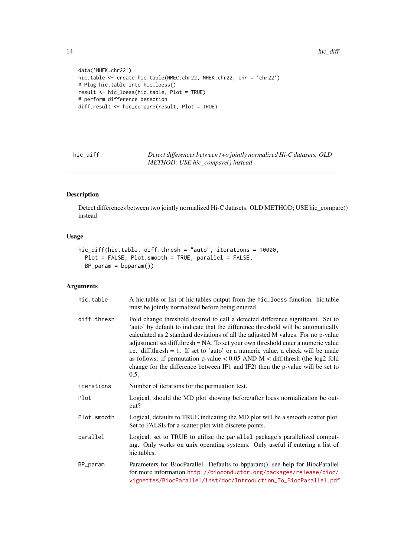```
data('NHEK.chr22')
hic.table <- create.hic.table(HMEC.chr22, NHEK.chr22, chr = 'chr22')
# Plug hic.table into hic_loess()
result <- hic_loess(hic.table, Plot = TRUE)
# perform difference detection
diff.result <- hic_compare(result, Plot = TRUE)
```

| hic diff | Detect differences between two jointly normalized Hi-C datasets. OLD |
|----------|----------------------------------------------------------------------|
|          | METHOD; USE hic_compare() instead                                    |

Detect differences between two jointly normalized Hi-C datasets. OLD METHOD; USE hic\_compare() instead

#### Usage

```
hic_diff(hic.table, diff.thresh = "auto", iterations = 10000,
 Plot = FALSE, Plot.smooth = TRUE, parallel = FALSE,
  BP_param = bpparam())
```
#### Arguments

| hic.table   | A hic.table or list of hic.tables output from the hic_loess function. hic.table<br>must be jointly normalized before being entered.                                                                                                                                                                                                                                                                                                                                                                                                                                                                               |
|-------------|-------------------------------------------------------------------------------------------------------------------------------------------------------------------------------------------------------------------------------------------------------------------------------------------------------------------------------------------------------------------------------------------------------------------------------------------------------------------------------------------------------------------------------------------------------------------------------------------------------------------|
| diff.thresh | Fold change threshold desired to call a detected difference significant. Set to<br>'auto' by default to indicate that the difference threshold will be automatically<br>calculated as 2 standard deviations of all the adjusted M values. For no p-value<br>adjustment set diff.thresh = NA. To set your own threshold enter a numeric value<br>i.e. diff.thresh $= 1$ . If set to 'auto' or a numeric value, a check will be made<br>as follows: if permutation p-value $< 0.05$ AND M $<$ diff. thresh (the log2 fold<br>change for the difference between IF1 and IF2) then the p-value will be set to<br>0.5. |
| iterations  | Number of iterations for the permuation test.                                                                                                                                                                                                                                                                                                                                                                                                                                                                                                                                                                     |
| Plot        | Logical, should the MD plot showing before/after loess normalization be out-<br>put?                                                                                                                                                                                                                                                                                                                                                                                                                                                                                                                              |
| Plot.smooth | Logical, defaults to TRUE indicating the MD plot will be a smooth scatter plot.<br>Set to FALSE for a scatter plot with discrete points.                                                                                                                                                                                                                                                                                                                                                                                                                                                                          |
| parallel    | Logical, set to TRUE to utilize the parallel package's parallelized comput-<br>ing. Only works on unix operating systems. Only useful if entering a list of<br>hic.tables.                                                                                                                                                                                                                                                                                                                                                                                                                                        |
| BP_param    | Parameters for BiocParallel. Defaults to bpparam(), see help for BiocParallel<br>for more information http://bioconductor.org/packages/release/bioc/<br>vignettes/BiocParallel/inst/doc/Introduction_To_BiocParallel.pdf                                                                                                                                                                                                                                                                                                                                                                                          |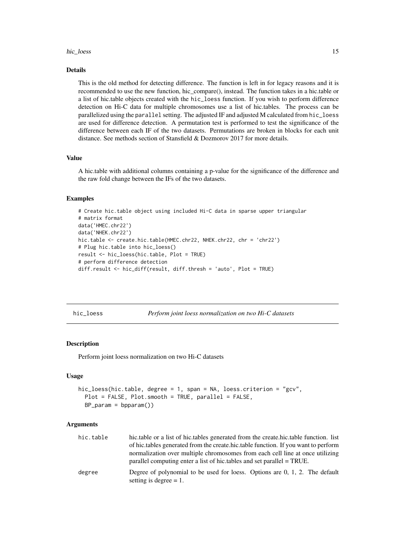#### <span id="page-14-0"></span>hic\_loess and the set of the set of the set of the set of the set of the set of the set of the set of the set of the set of the set of the set of the set of the set of the set of the set of the set of the set of the set of

#### Details

This is the old method for detecting difference. The function is left in for legacy reasons and it is recommended to use the new function, hic\_compare(), instead. The function takes in a hic.table or a list of hic.table objects created with the hic\_loess function. If you wish to perform difference detection on Hi-C data for multiple chromosomes use a list of hic.tables. The process can be parallelized using the parallel setting. The adjusted IF and adjusted M calculated from hic\_loess are used for difference detection. A permutation test is performed to test the significance of the difference between each IF of the two datasets. Permutations are broken in blocks for each unit distance. See methods section of Stansfield & Dozmorov 2017 for more details.

#### Value

A hic.table with additional columns containing a p-value for the significance of the difference and the raw fold change between the IFs of the two datasets.

#### Examples

```
# Create hic.table object using included Hi-C data in sparse upper triangular
# matrix format
data('HMEC.chr22')
data('NHEK.chr22')
hic.table <- create.hic.table(HMEC.chr22, NHEK.chr22, chr = 'chr22')
# Plug hic.table into hic_loess()
result <- hic_loess(hic.table, Plot = TRUE)
# perform difference detection
diff.result <- hic_diff(result, diff.thresh = 'auto', Plot = TRUE)
```
hic\_loess *Perform joint loess normalization on two Hi-C datasets*

#### Description

Perform joint loess normalization on two Hi-C datasets

#### Usage

```
hic_loess(hic.table, degree = 1, span = NA, loess.criterion = "gcv",
 Plot = FALSE, Plot.smooth = TRUE, parallel = FALSE,
 BP_param = bpparam())
```
#### Arguments

| hic.table | hic.table or a list of hic.tables generated from the create.hic.table function. list                                                                    |
|-----------|---------------------------------------------------------------------------------------------------------------------------------------------------------|
|           | of hic.tables generated from the create.hic.table function. If you want to perform                                                                      |
|           | normalization over multiple chromosomes from each cell line at once utilizing<br>parallel computing enter a list of hic tables and set parallel = TRUE. |
| degree    | Degree of polynomial to be used for loess. Options are $0, 1, 2$ . The default<br>setting is degree $= 1$ .                                             |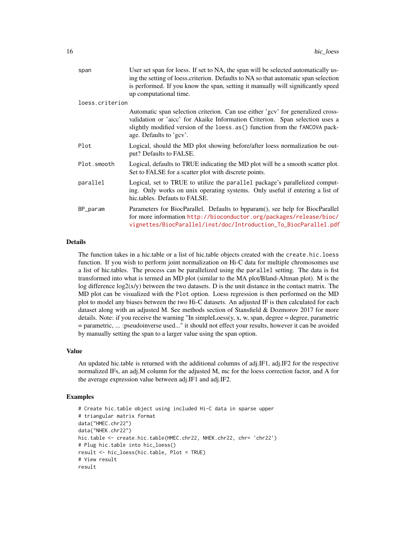| span            | User set span for loess. If set to NA, the span will be selected automatically us-<br>ing the setting of loess criterion. Defaults to NA so that automatic span selection<br>is performed. If you know the span, setting it manually will significantly speed<br>up computational time. |
|-----------------|-----------------------------------------------------------------------------------------------------------------------------------------------------------------------------------------------------------------------------------------------------------------------------------------|
| loess.criterion |                                                                                                                                                                                                                                                                                         |
|                 | Automatic span selection criterion. Can use either 'gcv' for generalized cross-<br>validation or 'aicc' for Akaike Information Criterion. Span selection uses a<br>slightly modified version of the loess.as() function from the fANCOVA pack-<br>age. Defaults to 'gcv'.               |
| Plot            | Logical, should the MD plot showing before/after loess normalization be out-<br>put? Defaults to FALSE.                                                                                                                                                                                 |
| Plot.smooth     | Logical, defaults to TRUE indicating the MD plot will be a smooth scatter plot.<br>Set to FALSE for a scatter plot with discrete points.                                                                                                                                                |
| parallel        | Logical, set to TRUE to utilize the parallel package's parallelized comput-<br>ing. Only works on unix operating systems. Only useful if entering a list of<br>hic.tables. Defauts to FALSE.                                                                                            |
| BP_param        | Parameters for BiocParallel. Defaults to bpparam(), see help for BiocParallel<br>for more information http://bioconductor.org/packages/release/bioc/<br>vignettes/BiocParallel/inst/doc/Introduction_To_BiocParallel.pdf                                                                |

#### Details

The function takes in a hic.table or a list of hic.table objects created with the create.hic.loess function. If you wish to perform joint normalization on Hi-C data for multiple chromosomes use a list of hic.tables. The process can be parallelized using the parallel setting. The data is fist transformed into what is termed an MD plot (similar to the MA plot/Bland-Altman plot). M is the log difference  $log2(x/y)$  between the two datasets. D is the unit distance in the contact matrix. The MD plot can be visualized with the Plot option. Loess regression is then performed on the MD plot to model any biases between the two Hi-C datasets. An adjusted IF is then calculated for each dataset along with an adjusted M. See methods section of Stansfield & Dozmorov 2017 for more details. Note: if you receive the warning "In simpleLoess(y, x, w, span, degree = degree, parametric = parametric, ... :pseudoinverse used..." it should not effect your results, however it can be avoided by manually setting the span to a larger value using the span option.

#### Value

An updated hic.table is returned with the additional columns of adj.IF1, adj.IF2 for the respective normalized IFs, an adj.M column for the adjusted M, mc for the loess correction factor, and A for the average expression value between adj.IF1 and adj.IF2.

```
# Create hic.table object using included Hi-C data in sparse upper
# triangular matrix format
data("HMEC.chr22")
data("NHEK.chr22")
hic.table <- create.hic.table(HMEC.chr22, NHEK.chr22, chr= 'chr22')
# Plug hic.table into hic_loess()
result <- hic_loess(hic.table, Plot = TRUE)
# View result
result
```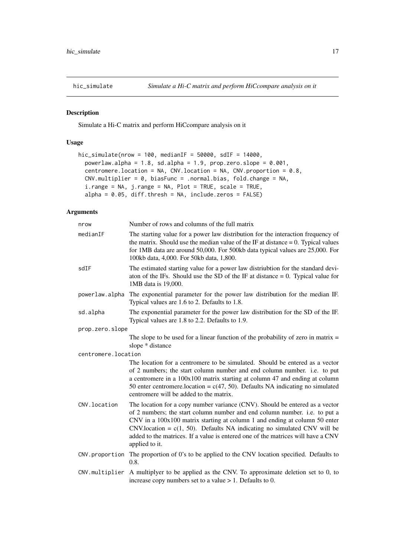<span id="page-16-0"></span>

Simulate a Hi-C matrix and perform HiCcompare analysis on it

#### Usage

```
hic_simulate(nrow = 100, medianIF = 50000, sdIF = 14000,
 powerlaw.alpha = 1.8, sd.alpha = 1.9, prop.zero.slope = 0.001,
 centromere.location = NA, CNV.location = NA, CNV.proportion = 0.8,
 CNV.multiplier = 0, biasFunc = .normal.bias, fold.change = NA,
 i.range = NA, j.range = NA, Plot = TRUE, scale = TRUE,
 alpha = 0.05, diff.thresh = NA, include.zeros = FALSE)
```
#### Arguments

| nrow                | Number of rows and columns of the full matrix                                                                                                                                                                                                                                                                                                                                                                                    |
|---------------------|----------------------------------------------------------------------------------------------------------------------------------------------------------------------------------------------------------------------------------------------------------------------------------------------------------------------------------------------------------------------------------------------------------------------------------|
| medianIF            | The starting value for a power law distribution for the interaction frequency of<br>the matrix. Should use the median value of the IF at distance $= 0$ . Typical values<br>for 1MB data are around 50,000. For 500kb data typical values are 25,000. For<br>100kb data, 4,000. For 50kb data, 1,800.                                                                                                                            |
| sdIF                | The estimated starting value for a power law distriubtion for the standard devi-<br>aton of the IFs. Should use the SD of the IF at distance $= 0$ . Typical value for<br>1MB data is 19,000.                                                                                                                                                                                                                                    |
| powerlaw.alpha      | The exponential parameter for the power law distribution for the median IF.<br>Typical values are 1.6 to 2. Defaults to 1.8.                                                                                                                                                                                                                                                                                                     |
| sd.alpha            | The exponential parameter for the power law distribution for the SD of the IF.<br>Typical values are 1.8 to 2.2. Defaults to 1.9.                                                                                                                                                                                                                                                                                                |
| prop.zero.slope     |                                                                                                                                                                                                                                                                                                                                                                                                                                  |
|                     | The slope to be used for a linear function of the probability of zero in matrix $=$<br>slope * distance                                                                                                                                                                                                                                                                                                                          |
| centromere.location |                                                                                                                                                                                                                                                                                                                                                                                                                                  |
|                     | The location for a centromere to be simulated. Should be entered as a vector<br>of 2 numbers; the start column number and end column number. i.e. to put<br>a centromere in a 100x100 matrix starting at column 47 and ending at column<br>50 enter centromere.location = $c(47, 50)$ . Defaults NA indicating no simulated<br>centromere will be added to the matrix.                                                           |
| CNV. location       | The location for a copy number variance (CNV). Should be entered as a vector<br>of 2 numbers; the start column number and end column number. i.e. to put a<br>CNV in a 100x100 matrix starting at column 1 and ending at column 50 enter<br>$CNV$ .location = $c(1, 50)$ . Defaults NA indicating no simulated CNV will be<br>added to the matrices. If a value is entered one of the matrices will have a CNV<br>applied to it. |
| CNV.proportion      | The proportion of 0's to be applied to the CNV location specified. Defaults to<br>0.8.                                                                                                                                                                                                                                                                                                                                           |
| CNV.multiplier      | A multiplyer to be applied as the CNV. To approximate deletion set to 0, to<br>increase copy numbers set to a value $> 1$ . Defaults to 0.                                                                                                                                                                                                                                                                                       |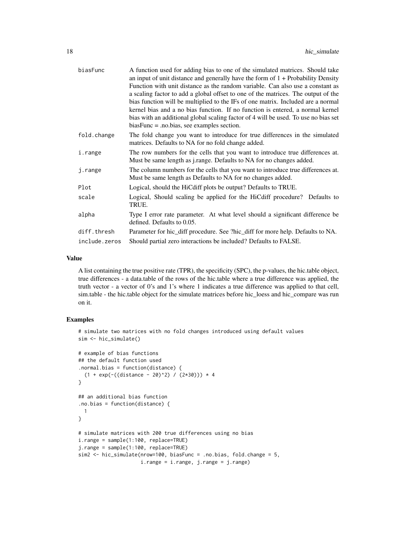| biasFunc      | A function used for adding bias to one of the simulated matrices. Should take<br>an input of unit distance and generally have the form of $1 +$ Probability Density<br>Function with unit distance as the random variable. Can also use a constant as<br>a scaling factor to add a global offset to one of the matrices. The output of the<br>bias function will be multiplied to the IFs of one matrix. Included are a normal<br>kernel bias and a no bias function. If no function is entered, a normal kernel<br>bias with an additional global scaling factor of 4 will be used. To use no bias set<br>$biasFunc = .no.bias, see examples section.$ |  |  |
|---------------|---------------------------------------------------------------------------------------------------------------------------------------------------------------------------------------------------------------------------------------------------------------------------------------------------------------------------------------------------------------------------------------------------------------------------------------------------------------------------------------------------------------------------------------------------------------------------------------------------------------------------------------------------------|--|--|
| fold.change   | The fold change you want to introduce for true differences in the simulated<br>matrices. Defaults to NA for no fold change added.                                                                                                                                                                                                                                                                                                                                                                                                                                                                                                                       |  |  |
| i.range       | The row numbers for the cells that you want to introduce true differences at.<br>Must be same length as j.range. Defaults to NA for no changes added.                                                                                                                                                                                                                                                                                                                                                                                                                                                                                                   |  |  |
| j.range       | The column numbers for the cells that you want to introduce true differences at.<br>Must be same length as Defaults to NA for no changes added.                                                                                                                                                                                                                                                                                                                                                                                                                                                                                                         |  |  |
| Plot          | Logical, should the HiCdiff plots be output? Defaults to TRUE.                                                                                                                                                                                                                                                                                                                                                                                                                                                                                                                                                                                          |  |  |
| scale         | Logical, Should scaling be applied for the HiCdiff procedure? Defaults to<br>TRUE.                                                                                                                                                                                                                                                                                                                                                                                                                                                                                                                                                                      |  |  |
| alpha         | Type I error rate parameter. At what level should a significant difference be<br>defined. Defaults to 0.05.                                                                                                                                                                                                                                                                                                                                                                                                                                                                                                                                             |  |  |
| diff.thresh   | Parameter for hic_diff procedure. See ?hic_diff for more help. Defaults to NA.                                                                                                                                                                                                                                                                                                                                                                                                                                                                                                                                                                          |  |  |
| include.zeros | Should partial zero interactions be included? Defaults to FALSE.                                                                                                                                                                                                                                                                                                                                                                                                                                                                                                                                                                                        |  |  |
|               |                                                                                                                                                                                                                                                                                                                                                                                                                                                                                                                                                                                                                                                         |  |  |

#### Value

A list containing the true positive rate (TPR), the specificity (SPC), the p-values, the hic.table object, true differences - a data.table of the rows of the hic.table where a true difference was applied, the truth vector - a vector of 0's and 1's where 1 indicates a true difference was applied to that cell, sim.table - the hic.table object for the simulate matrices before hic\_loess and hic\_compare was run on it.

```
# simulate two matrices with no fold changes introduced using default values
sim <- hic_simulate()
# example of bias functions
## the default function used
.normal.bias = function(distance) {
  (1 + \exp(-( (distance - 20)^2)) / (2*30))) * 4}
## an additional bias function
.no.bias = function(distance) {
 1
}
# simulate matrices with 200 true differences using no bias
i.range = sample(1:100, replace=TRUE)
j.range = sample(1:100, replace=TRUE)
sim2 <- hic_simulate(nrow=100, biasFunc = .no.bias, fold.change = 5,
                     i.range = i.range, j.range = j.range)
```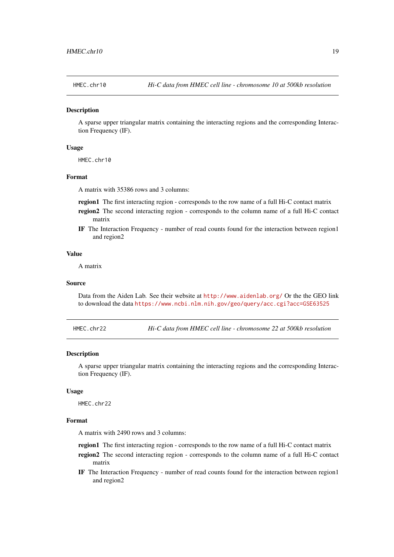<span id="page-18-0"></span>

A sparse upper triangular matrix containing the interacting regions and the corresponding Interaction Frequency (IF).

#### Usage

HMEC.chr10

#### Format

A matrix with 35386 rows and 3 columns:

region1 The first interacting region - corresponds to the row name of a full Hi-C contact matrix

- region2 The second interacting region corresponds to the column name of a full Hi-C contact matrix
- IF The Interaction Frequency number of read counts found for the interaction between region1 and region2

#### Value

A matrix

#### Source

Data from the Aiden Lab. See their website at <http://www.aidenlab.org/> Or the the GEO link to download the data <https://www.ncbi.nlm.nih.gov/geo/query/acc.cgi?acc=GSE63525>

HMEC.chr22 *Hi-C data from HMEC cell line - chromosome 22 at 500kb resolution*

#### Description

A sparse upper triangular matrix containing the interacting regions and the corresponding Interaction Frequency (IF).

#### Usage

HMFC\_chr22

#### Format

A matrix with 2490 rows and 3 columns:

- region1 The first interacting region corresponds to the row name of a full Hi-C contact matrix
- region2 The second interacting region corresponds to the column name of a full Hi-C contact matrix
- IF The Interaction Frequency number of read counts found for the interaction between region1 and region2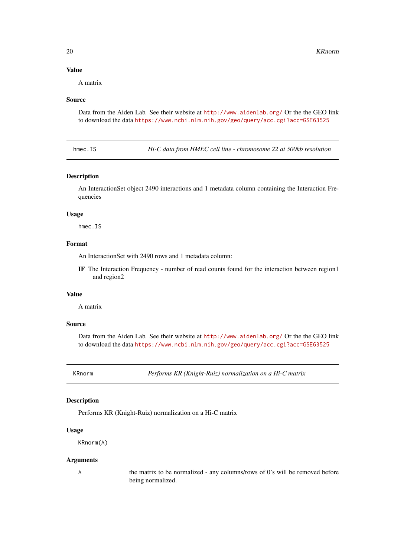<span id="page-19-0"></span>A matrix

#### Source

Data from the Aiden Lab. See their website at <http://www.aidenlab.org/> Or the the GEO link to download the data <https://www.ncbi.nlm.nih.gov/geo/query/acc.cgi?acc=GSE63525>

hmec.IS *Hi-C data from HMEC cell line - chromosome 22 at 500kb resolution*

#### Description

An InteractionSet object 2490 interactions and 1 metadata column containing the Interaction Frequencies

#### Usage

hmec.IS

#### Format

An InteractionSet with 2490 rows and 1 metadata column:

IF The Interaction Frequency - number of read counts found for the interaction between region1 and region2

### Value

A matrix

#### Source

Data from the Aiden Lab. See their website at <http://www.aidenlab.org/> Or the the GEO link to download the data <https://www.ncbi.nlm.nih.gov/geo/query/acc.cgi?acc=GSE63525>

KRnorm *Performs KR (Knight-Ruiz) normalization on a Hi-C matrix*

#### Description

Performs KR (Knight-Ruiz) normalization on a Hi-C matrix

#### Usage

KRnorm(A)

#### Arguments

A the matrix to be normalized - any columns/rows of 0's will be removed before being normalized.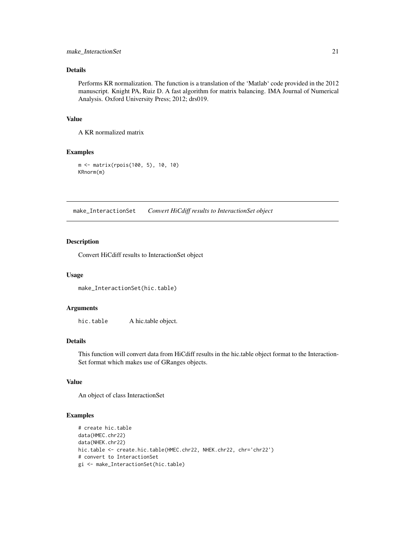#### <span id="page-20-0"></span>make\_InteractionSet 21

#### Details

Performs KR normalization. The function is a translation of the 'Matlab' code provided in the 2012 manuscript. Knight PA, Ruiz D. A fast algorithm for matrix balancing. IMA Journal of Numerical Analysis. Oxford University Press; 2012; drs019.

#### Value

A KR normalized matrix

#### Examples

```
m <- matrix(rpois(100, 5), 10, 10)
KRnorm(m)
```
make\_InteractionSet *Convert HiCdiff results to InteractionSet object*

#### Description

Convert HiCdiff results to InteractionSet object

#### Usage

make\_InteractionSet(hic.table)

#### Arguments

hic.table A hic.table object.

#### Details

This function will convert data from HiCdiff results in the hic.table object format to the Interaction-Set format which makes use of GRanges objects.

#### Value

An object of class InteractionSet

```
# create hic.table
data(HMEC.chr22)
data(NHEK.chr22)
hic.table <- create.hic.table(HMEC.chr22, NHEK.chr22, chr='chr22')
# convert to InteractionSet
gi <- make_InteractionSet(hic.table)
```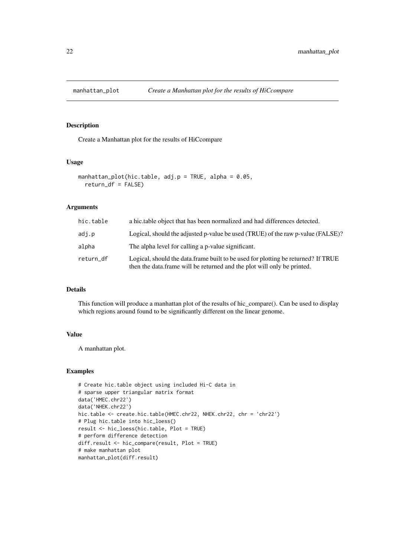<span id="page-21-0"></span>

Create a Manhattan plot for the results of HiCcompare

#### Usage

```
manhattan_plot(hic.table, adj.p = TRUE, alpha = 0.05,
 return_df = FALSE)
```
#### Arguments

| hic.table | a hic.table object that has been normalized and had differences detected.                                                                                    |
|-----------|--------------------------------------------------------------------------------------------------------------------------------------------------------------|
| adj.p     | Logical, should the adjusted p-value be used (TRUE) of the raw p-value (FALSE)?                                                                              |
| alpha     | The alpha level for calling a p-value significant.                                                                                                           |
| return_df | Logical, should the data frame built to be used for plotting be returned? If TRUE<br>then the data frame will be returned and the plot will only be printed. |

#### Details

This function will produce a manhattan plot of the results of hic\_compare(). Can be used to display which regions around found to be significantly different on the linear genome.

#### Value

A manhattan plot.

```
# Create hic.table object using included Hi-C data in
# sparse upper triangular matrix format
data('HMEC.chr22')
data('NHEK.chr22')
hic.table <- create.hic.table(HMEC.chr22, NHEK.chr22, chr = 'chr22')
# Plug hic.table into hic_loess()
result <- hic_loess(hic.table, Plot = TRUE)
# perform difference detection
diff.result <- hic_compare(result, Plot = TRUE)
# make manhattan plot
manhattan_plot(diff.result)
```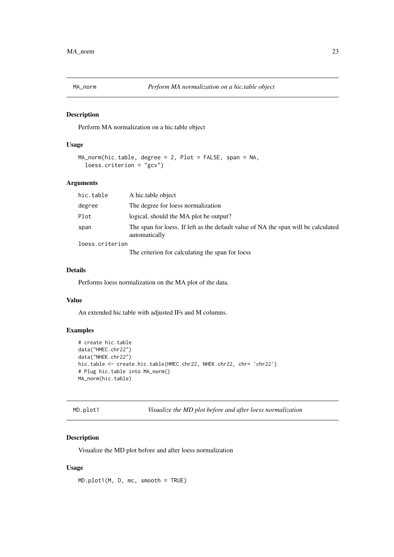<span id="page-22-0"></span>

Perform MA normalization on a hic.table object

#### Usage

```
MA_norm(hic.table, degree = 2, Plot = FALSE, span = NA,
  loess.criterion = "gcv")
```
#### Arguments

| hic.table       | A hic.table object                                                                                  |
|-----------------|-----------------------------------------------------------------------------------------------------|
| degree          | The degree for loess normalization                                                                  |
| Plot            | logical, should the MA plot be output?                                                              |
| span            | The span for loess. If left as the default value of NA the span will be calculated<br>automatically |
| loess.criterion |                                                                                                     |
|                 | The criterion for calculating the span for loess                                                    |

#### Details

Performs loess normalization on the MA plot of the data.

#### Value

An extended hic.table with adjusted IFs and M columns.

#### Examples

```
# create hic.table
data("HMEC.chr22")
data("NHEK.chr22")
hic.table <- create.hic.table(HMEC.chr22, NHEK.chr22, chr= 'chr22')
# Plug hic.table into MA_norm()
MA_norm(hic.table)
```
MD.plot1 *Visualize the MD plot before and after loess normalization*

#### Description

Visualize the MD plot before and after loess normalization

#### Usage

MD.plot1(M, D, mc, smooth = TRUE)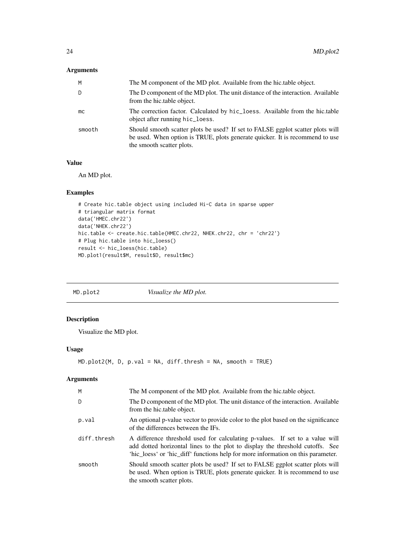#### <span id="page-23-0"></span>Arguments

| M      | The M component of the MD plot. Available from the hic.table object.                                                                                                                        |
|--------|---------------------------------------------------------------------------------------------------------------------------------------------------------------------------------------------|
| D      | The D component of the MD plot. The unit distance of the interaction. Available<br>from the hic.table object.                                                                               |
| mc     | The correction factor. Calculated by hic_loess. Available from the hic.table<br>object after running hic_loess.                                                                             |
| smooth | Should smooth scatter plots be used? If set to FALSE ggplot scatter plots will<br>be used. When option is TRUE, plots generate quicker. It is recommend to use<br>the smooth scatter plots. |

#### Value

An MD plot.

#### Examples

```
# Create hic.table object using included Hi-C data in sparse upper
# triangular matrix format
data('HMEC.chr22')
data('NHEK.chr22')
hic.table <- create.hic.table(HMEC.chr22, NHEK.chr22, chr = 'chr22')
# Plug hic.table into hic_loess()
result <- hic_loess(hic.table)
MD.plot1(result$M, result$D, result$mc)
```
MD.plot2 *Visualize the MD plot.*

#### Description

Visualize the MD plot.

#### Usage

```
MD.plot2(M, D, p.val = NA, diff.thresh = NA, smooth = TRUE)
```
#### Arguments

| M           | The M component of the MD plot. Available from the hic.table object.                                                                                                                                                                              |
|-------------|---------------------------------------------------------------------------------------------------------------------------------------------------------------------------------------------------------------------------------------------------|
| D           | The D component of the MD plot. The unit distance of the interaction. Available<br>from the hic.table object.                                                                                                                                     |
| p.val       | An optional p-value vector to provide color to the plot based on the significance<br>of the differences between the IFs.                                                                                                                          |
| diff.thresh | A difference threshold used for calculating p-values. If set to a value will<br>add dotted horizontal lines to the plot to display the threshold cutoffs. See<br>'hic_loess' or 'hic_diff' functions help for more information on this parameter. |
| smooth      | Should smooth scatter plots be used? If set to FALSE ggplot scatter plots will<br>be used. When option is TRUE, plots generate quicker. It is recommend to use<br>the smooth scatter plots.                                                       |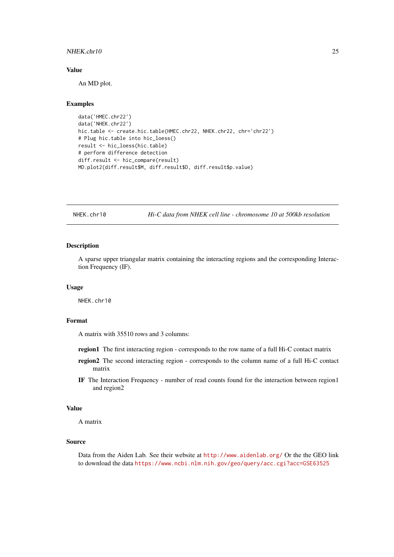#### <span id="page-24-0"></span>NHEK.chr10 25

#### Value

An MD plot.

#### Examples

```
data('HMEC.chr22')
data('NHEK.chr22')
hic.table <- create.hic.table(HMEC.chr22, NHEK.chr22, chr='chr22')
# Plug hic.table into hic_loess()
result <- hic_loess(hic.table)
# perform difference detection
diff.result <- hic_compare(result)
MD.plot2(diff.result$M, diff.result$D, diff.result$p.value)
```
NHEK.chr10 *Hi-C data from NHEK cell line - chromosome 10 at 500kb resolution*

#### Description

A sparse upper triangular matrix containing the interacting regions and the corresponding Interaction Frequency (IF).

#### Usage

NHEK.chr10

#### Format

A matrix with 35510 rows and 3 columns:

- region1 The first interacting region corresponds to the row name of a full Hi-C contact matrix
- region2 The second interacting region corresponds to the column name of a full Hi-C contact matrix
- IF The Interaction Frequency number of read counts found for the interaction between region1 and region2

#### Value

A matrix

#### Source

Data from the Aiden Lab. See their website at <http://www.aidenlab.org/> Or the the GEO link to download the data <https://www.ncbi.nlm.nih.gov/geo/query/acc.cgi?acc=GSE63525>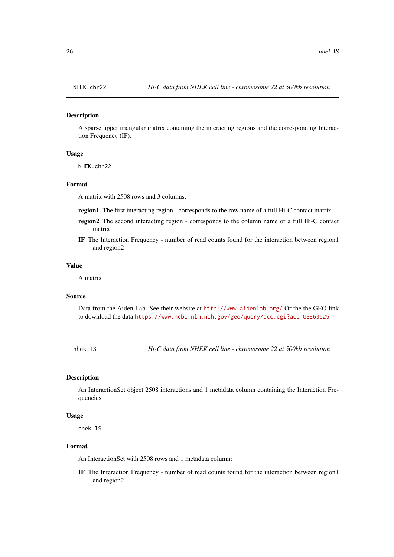<span id="page-25-0"></span>

A sparse upper triangular matrix containing the interacting regions and the corresponding Interaction Frequency (IF).

#### Usage

NHEK.chr22

#### Format

A matrix with 2508 rows and 3 columns:

- region1 The first interacting region corresponds to the row name of a full Hi-C contact matrix
- region2 The second interacting region corresponds to the column name of a full Hi-C contact matrix
- IF The Interaction Frequency number of read counts found for the interaction between region1 and region2

#### Value

A matrix

#### Source

Data from the Aiden Lab. See their website at <http://www.aidenlab.org/> Or the the GEO link to download the data <https://www.ncbi.nlm.nih.gov/geo/query/acc.cgi?acc=GSE63525>

nhek.IS *Hi-C data from NHEK cell line - chromosome 22 at 500kb resolution*

#### Description

An InteractionSet object 2508 interactions and 1 metadata column containing the Interaction Frequencies

#### Usage

nhek.IS

#### Format

An InteractionSet with 2508 rows and 1 metadata column:

IF The Interaction Frequency - number of read counts found for the interaction between region1 and region2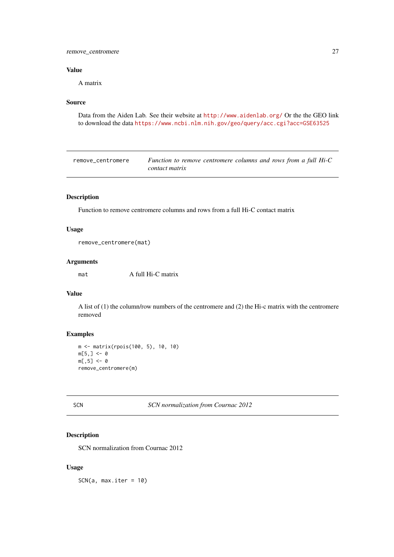#### <span id="page-26-0"></span>remove\_centromere 27

#### Value

A matrix

#### Source

Data from the Aiden Lab. See their website at <http://www.aidenlab.org/> Or the the GEO link to download the data <https://www.ncbi.nlm.nih.gov/geo/query/acc.cgi?acc=GSE63525>

| remove centromere | Function to remove centromere columns and rows from a full Hi-C |
|-------------------|-----------------------------------------------------------------|
|                   | contact matrix                                                  |

#### Description

Function to remove centromere columns and rows from a full Hi-C contact matrix

#### Usage

```
remove_centromere(mat)
```
#### Arguments

mat A full Hi-C matrix

#### Value

A list of (1) the column/row numbers of the centromere and (2) the Hi-c matrix with the centromere removed

#### Examples

```
m <- matrix(rpois(100, 5), 10, 10)
m[5, ] < - \emptysetm[, 5] <- 0
remove_centromere(m)
```
SCN *SCN normalization from Cournac 2012*

#### Description

SCN normalization from Cournac 2012

#### Usage

SCN(a, max.iter = 10)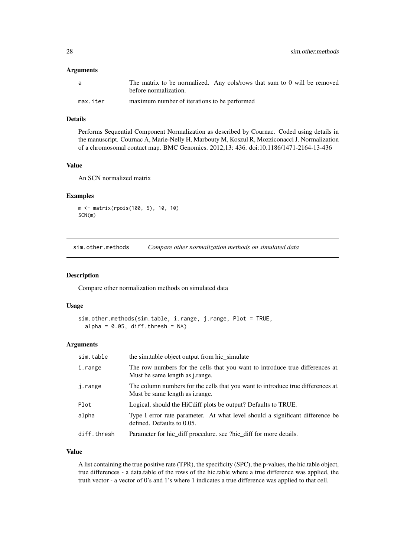#### <span id="page-27-0"></span>Arguments

| a        | The matrix to be normalized. Any cols/rows that sum to 0 will be removed |
|----------|--------------------------------------------------------------------------|
|          | before normalization.                                                    |
| max.iter | maximum number of iterations to be performed                             |

#### Details

Performs Sequential Component Normalization as described by Cournac. Coded using details in the manuscript. Cournac A, Marie-Nelly H, Marbouty M, Koszul R, Mozziconacci J. Normalization of a chromosomal contact map. BMC Genomics. 2012;13: 436. doi:10.1186/1471-2164-13-436

#### Value

An SCN normalized matrix

#### Examples

```
m <- matrix(rpois(100, 5), 10, 10)
SCN(m)
```
sim.other.methods *Compare other normalization methods on simulated data*

#### Description

Compare other normalization methods on simulated data

#### Usage

```
sim.other.methods(sim.table, i.range, j.range, Plot = TRUE,
 alpha = 0.05, diff.thresh = NA)
```
#### Arguments

| sim.table   | the similable object output from hic simulate                                                                              |
|-------------|----------------------------------------------------------------------------------------------------------------------------|
| i.range     | The row numbers for the cells that you want to introduce true differences at.<br>Must be same length as <i>j.range.</i>    |
| j.range     | The column numbers for the cells that you want to introduce true differences at.<br>Must be same length as <i>i.range.</i> |
| Plot        | Logical, should the HiCdiff plots be output? Defaults to TRUE.                                                             |
| alpha       | Type I error rate parameter. At what level should a significant difference be<br>defined. Defaults to 0.05.                |
| diff.thresh | Parameter for hic_diff procedure. see ?hic_diff for more details.                                                          |

#### Value

A list containing the true positive rate (TPR), the specificity (SPC), the p-values, the hic.table object, true differences - a data.table of the rows of the hic.table where a true difference was applied, the truth vector - a vector of 0's and 1's where 1 indicates a true difference was applied to that cell.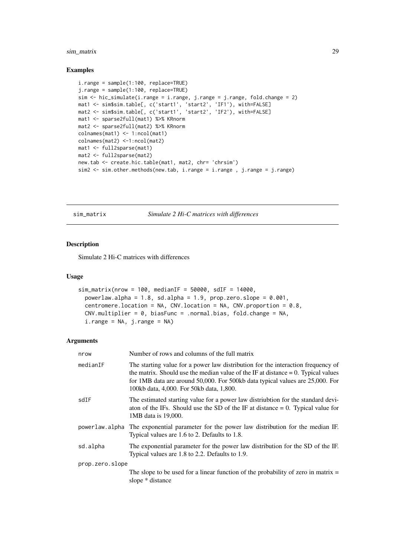#### <span id="page-28-0"></span>sim\_matrix 29

#### Examples

```
i.range = sample(1:100, replace=TRUE)
j.range = sample(1:100, replace=TRUE)
sim <- hic_simulate(i.range = i.range, j.range = j.range, fold.change = 2)
mat1 <- sim$sim.table[, c('start1', 'start2', 'IF1'), with=FALSE]
mat2 <- sim$sim.table[, c('start1', 'start2', 'IF2'), with=FALSE]
mat1 <- sparse2full(mat1) %>% KRnorm
mat2 <- sparse2full(mat2) %>% KRnorm
colnames(mat1) <- 1:ncol(mat1)
colnames(mat2) <-1:ncol(mat2)
mat1 <- full2sparse(mat1)
mat2 <- full2sparse(mat2)
new.tab <- create.hic.table(mat1, mat2, chr= 'chrsim')
sim2 <- sim.other.methods(new.tab, i.range = i.range, j.range = j.range)
```
sim\_matrix *Simulate 2 Hi-C matrices with differences*

#### Description

Simulate 2 Hi-C matrices with differences

#### Usage

```
sim\_matrix(nrow = 100, medianIF = 50000, sdIF = 14000,powerlaw.alpha = 1.8, sd.alpha = 1.9, prop.zero.slope = 0.001,
 centromere.location = NA, CNV.location = NA, CNV.proportion = 0.8,
 CNV.multiplier = 0, biasFunc = .normal.bias, fold.change = NA,
 i.random = NA, j.random = NA)
```
#### Arguments

| nrow            | Number of rows and columns of the full matrix                                                                                                                                                                                                                                                         |  |
|-----------------|-------------------------------------------------------------------------------------------------------------------------------------------------------------------------------------------------------------------------------------------------------------------------------------------------------|--|
| medianIF        | The starting value for a power law distribution for the interaction frequency of<br>the matrix. Should use the median value of the IF at distance $= 0$ . Typical values<br>for 1MB data are around 50,000. For 500kb data typical values are 25,000. For<br>100kb data, 4,000. For 50kb data, 1,800. |  |
| sdIF            | The estimated starting value for a power law distriubtion for the standard devi-<br>aton of the IFs. Should use the SD of the IF at distance $= 0$ . Typical value for<br>1MB data is 19,000.                                                                                                         |  |
|                 | powerlaw alpha The exponential parameter for the power law distribution for the median IF.<br>Typical values are 1.6 to 2. Defaults to 1.8.                                                                                                                                                           |  |
| sd.alpha        | The exponential parameter for the power law distribution for the SD of the IF.<br>Typical values are 1.8 to 2.2. Defaults to 1.9.                                                                                                                                                                     |  |
| prop.zero.slope |                                                                                                                                                                                                                                                                                                       |  |
|                 | The slope to be used for a linear function of the probability of zero in matrix $=$<br>slope * distance                                                                                                                                                                                               |  |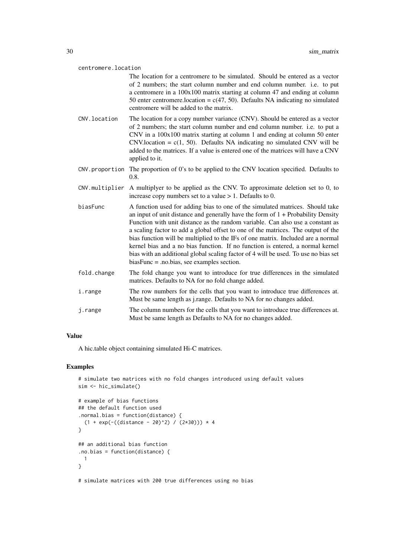#### centromere.location

The location for a centromere to be simulated. Should be entered as a vector of 2 numbers; the start column number and end column number. i.e. to put a centromere in a 100x100 matrix starting at column 47 and ending at column 50 enter centromere. location =  $c(47, 50)$ . Defaults NA indicating no simulated centromere will be added to the matrix.

- CNV.location The location for a copy number variance (CNV). Should be entered as a vector of 2 numbers; the start column number and end column number. i.e. to put a CNV in a 100x100 matrix starting at column 1 and ending at column 50 enter CNV.location =  $c(1, 50)$ . Defaults NA indicating no simulated CNV will be added to the matrices. If a value is entered one of the matrices will have a CNV applied to it.
- CNV.proportion The proportion of 0's to be applied to the CNV location specified. Defaults to 0.8.
- CNV.multiplier A multiplyer to be applied as the CNV. To approximate deletion set to 0, to increase copy numbers set to a value > 1. Defaults to 0.
- biasFunc A function used for adding bias to one of the simulated matrices. Should take an input of unit distance and generally have the form of  $1 +$  Probability Density Function with unit distance as the random variable. Can also use a constant as a scaling factor to add a global offset to one of the matrices. The output of the bias function will be multiplied to the IFs of one matrix. Included are a normal kernel bias and a no bias function. If no function is entered, a normal kernel bias with an additional global scaling factor of 4 will be used. To use no bias set biasFunc = .no.bias, see examples section.
- fold.change The fold change you want to introduce for true differences in the simulated matrices. Defaults to NA for no fold change added.
- i.range The row numbers for the cells that you want to introduce true differences at. Must be same length as j.range. Defaults to NA for no changes added.
- j.range The column numbers for the cells that you want to introduce true differences at. Must be same length as Defaults to NA for no changes added.

#### Value

A hic.table object containing simulated Hi-C matrices.

#### Examples

```
# simulate two matrices with no fold changes introduced using default values
sim <- hic_simulate()
# example of bias functions
## the default function used
```

```
.normal.bias = function(distance) {
  (1 + \exp(-( (distance - 20)^2)) / (2*30))) * 4}
## an additional bias function
.no.bias = function(distance) {
  1
}
```
# simulate matrices with 200 true differences using no bias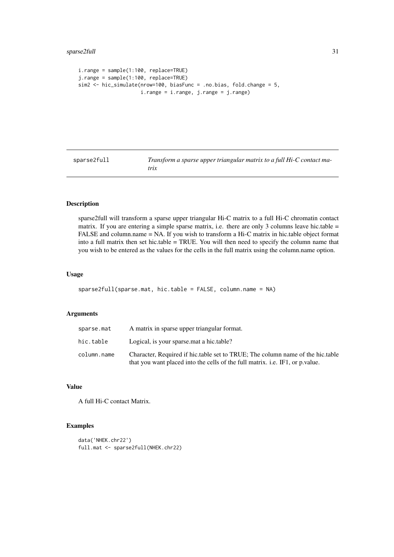```
i.range = sample(1:100, replace=TRUE)
j.range = sample(1:100, replace=TRUE)
sim2 <- hic_simulate(nrow=100, biasFunc = .no.bias, fold.change = 5,
                     i.range = i.range, j.range = j.range)
```
sparse2full *Transform a sparse upper triangular matrix to a full Hi-C contact matrix*

#### Description

sparse2full will transform a sparse upper triangular Hi-C matrix to a full Hi-C chromatin contact matrix. If you are entering a simple sparse matrix, i.e. there are only 3 columns leave hic.table = FALSE and column.name = NA. If you wish to transform a Hi-C matrix in hic.table object format into a full matrix then set hic.table = TRUE. You will then need to specify the column name that you wish to be entered as the values for the cells in the full matrix using the column.name option.

#### Usage

```
sparse2full(sparse.mat, hic.table = FALSE, column.name = NA)
```
#### Arguments

| sparse.mat  | A matrix in sparse upper triangular format.                                                                                                                     |
|-------------|-----------------------------------------------------------------------------------------------------------------------------------------------------------------|
| hic.table   | Logical, is your sparse mat a hic table?                                                                                                                        |
| column.name | Character, Required if hic.table set to TRUE; The column name of the hic.table<br>that you want placed into the cells of the full matrix, i.e. IF1, or p.value. |

#### Value

A full Hi-C contact Matrix.

#### Examples

data('NHEK.chr22') full.mat <- sparse2full(NHEK.chr22)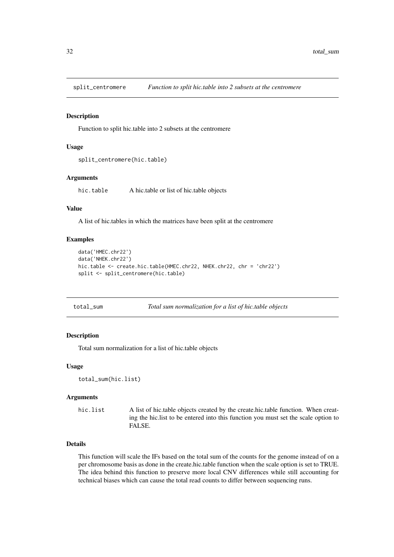<span id="page-31-0"></span>

Function to split hic.table into 2 subsets at the centromere

#### Usage

```
split_centromere(hic.table)
```
#### Arguments

hic.table A hic.table or list of hic.table objects

#### Value

A list of hic.tables in which the matrices have been split at the centromere

#### Examples

```
data('HMEC.chr22')
data('NHEK.chr22')
hic.table <- create.hic.table(HMEC.chr22, NHEK.chr22, chr = 'chr22')
split <- split_centromere(hic.table)
```

| total_sum | Total sum normalization for a list of hic.table objects |  |  |  |  |  |
|-----------|---------------------------------------------------------|--|--|--|--|--|
|-----------|---------------------------------------------------------|--|--|--|--|--|

#### Description

Total sum normalization for a list of hic.table objects

#### Usage

```
total_sum(hic.list)
```
#### Arguments

```
hic.list A list of hic.table objects created by the create.hic.table function. When creat-
                  ing the hic.list to be entered into this function you must set the scale option to
                  FALSE.
```
#### Details

This function will scale the IFs based on the total sum of the counts for the genome instead of on a per chromosome basis as done in the create.hic.table function when the scale option is set to TRUE. The idea behind this function to preserve more local CNV differences while still accounting for technical biases which can cause the total read counts to differ between sequencing runs.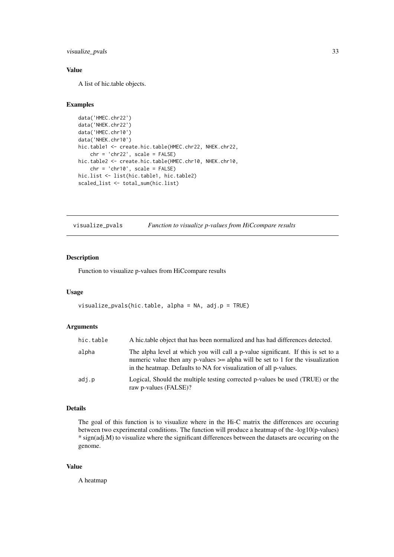<span id="page-32-0"></span>visualize\_pvals 33

#### Value

A list of hic.table objects.

#### Examples

```
data('HMEC.chr22')
data('NHEK.chr22')
data('HMEC.chr10')
data('NHEK.chr10')
hic.table1 <- create.hic.table(HMEC.chr22, NHEK.chr22,
    chr = 'chr22', scale = FALSE)
hic.table2 <- create.hic.table(HMEC.chr10, NHEK.chr10,
   chr = 'chr10', scale = FALSE)hic.list <- list(hic.table1, hic.table2)
scaled_list <- total_sum(hic.list)
```
visualize\_pvals *Function to visualize p-values from HiCcompare results*

#### Description

Function to visualize p-values from HiCcompare results

#### Usage

```
visualize_pvals(hic.table, alpha = NA, adj.p = TRUE)
```
#### Arguments

| hic.table | A hic.table object that has been normalized and has had differences detected.                                                                                                                                                                 |
|-----------|-----------------------------------------------------------------------------------------------------------------------------------------------------------------------------------------------------------------------------------------------|
| alpha     | The alpha level at which you will call a p-value significant. If this is set to a<br>numeric value then any p-values $\geq$ alpha will be set to 1 for the visualization<br>in the heatmap. Defaults to NA for visualization of all p-values. |
| adj.p     | Logical, Should the multiple testing corrected p-values be used (TRUE) or the<br>raw p-values (FALSE)?                                                                                                                                        |

#### Details

The goal of this function is to visualize where in the Hi-C matrix the differences are occuring between two experimental conditions. The function will produce a heatmap of the -log10(p-values) \* sign(adj.M) to visualize where the significant differences between the datasets are occuring on the genome.

#### Value

A heatmap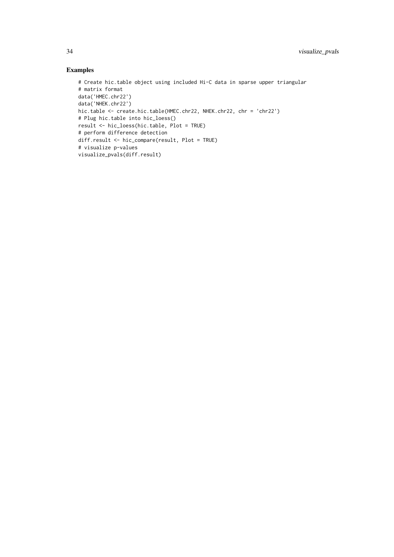```
# Create hic.table object using included Hi-C data in sparse upper triangular
# matrix format
data('HMEC.chr22')
data('NHEK.chr22')
hic.table <- create.hic.table(HMEC.chr22, NHEK.chr22, chr = 'chr22')
# Plug hic.table into hic_loess()
result <- hic_loess(hic.table, Plot = TRUE)
# perform difference detection
diff.result <- hic_compare(result, Plot = TRUE)
# visualize p-values
visualize_pvals(diff.result)
```